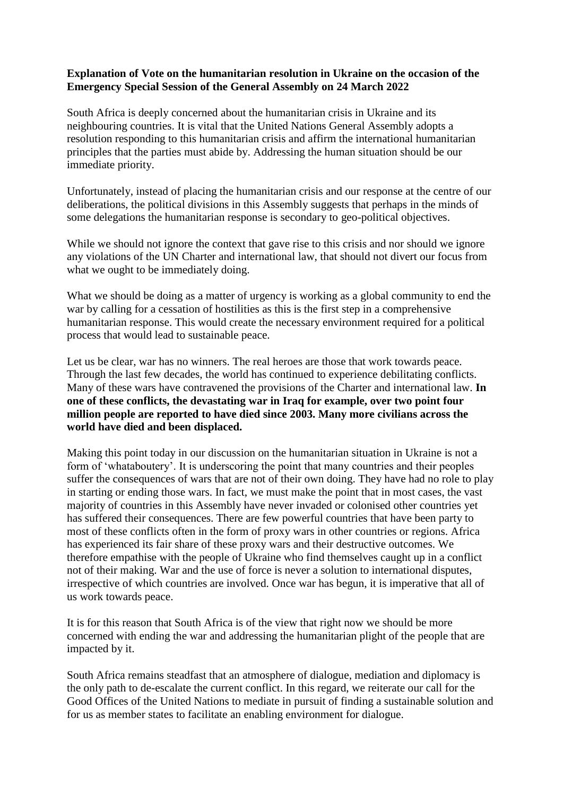## **Explanation of Vote on the humanitarian resolution in Ukraine on the occasion of the Emergency Special Session of the General Assembly on 24 March 2022**

South Africa is deeply concerned about the humanitarian crisis in Ukraine and its neighbouring countries. It is vital that the United Nations General Assembly adopts a resolution responding to this humanitarian crisis and affirm the international humanitarian principles that the parties must abide by. Addressing the human situation should be our immediate priority.

Unfortunately, instead of placing the humanitarian crisis and our response at the centre of our deliberations, the political divisions in this Assembly suggests that perhaps in the minds of some delegations the humanitarian response is secondary to geo-political objectives.

While we should not ignore the context that gave rise to this crisis and nor should we ignore any violations of the UN Charter and international law, that should not divert our focus from what we ought to be immediately doing.

What we should be doing as a matter of urgency is working as a global community to end the war by calling for a cessation of hostilities as this is the first step in a comprehensive humanitarian response. This would create the necessary environment required for a political process that would lead to sustainable peace.

Let us be clear, war has no winners. The real heroes are those that work towards peace. Through the last few decades, the world has continued to experience debilitating conflicts. Many of these wars have contravened the provisions of the Charter and international law. **In one of these conflicts, the devastating war in Iraq for example, over two point four million people are reported to have died since 2003. Many more civilians across the world have died and been displaced.**

Making this point today in our discussion on the humanitarian situation in Ukraine is not a form of 'whataboutery'. It is underscoring the point that many countries and their peoples suffer the consequences of wars that are not of their own doing. They have had no role to play in starting or ending those wars. In fact, we must make the point that in most cases, the vast majority of countries in this Assembly have never invaded or colonised other countries yet has suffered their consequences. There are few powerful countries that have been party to most of these conflicts often in the form of proxy wars in other countries or regions. Africa has experienced its fair share of these proxy wars and their destructive outcomes. We therefore empathise with the people of Ukraine who find themselves caught up in a conflict not of their making. War and the use of force is never a solution to international disputes, irrespective of which countries are involved. Once war has begun, it is imperative that all of us work towards peace.

It is for this reason that South Africa is of the view that right now we should be more concerned with ending the war and addressing the humanitarian plight of the people that are impacted by it.

South Africa remains steadfast that an atmosphere of dialogue, mediation and diplomacy is the only path to de-escalate the current conflict. In this regard, we reiterate our call for the Good Offices of the United Nations to mediate in pursuit of finding a sustainable solution and for us as member states to facilitate an enabling environment for dialogue.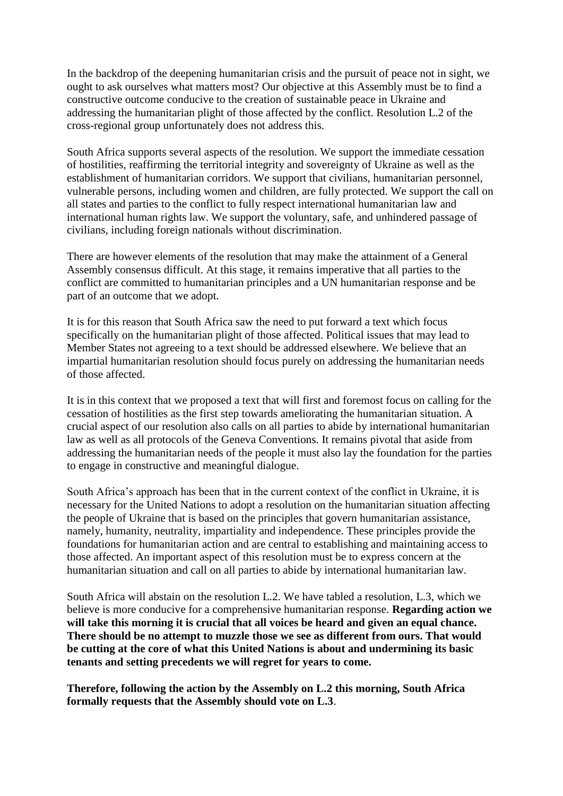In the backdrop of the deepening humanitarian crisis and the pursuit of peace not in sight, we ought to ask ourselves what matters most? Our objective at this Assembly must be to find a constructive outcome conducive to the creation of sustainable peace in Ukraine and addressing the humanitarian plight of those affected by the conflict. Resolution L.2 of the cross-regional group unfortunately does not address this.

South Africa supports several aspects of the resolution. We support the immediate cessation of hostilities, reaffirming the territorial integrity and sovereignty of Ukraine as well as the establishment of humanitarian corridors. We support that civilians, humanitarian personnel, vulnerable persons, including women and children, are fully protected. We support the call on all states and parties to the conflict to fully respect international humanitarian law and international human rights law. We support the voluntary, safe, and unhindered passage of civilians, including foreign nationals without discrimination.

There are however elements of the resolution that may make the attainment of a General Assembly consensus difficult. At this stage, it remains imperative that all parties to the conflict are committed to humanitarian principles and a UN humanitarian response and be part of an outcome that we adopt.

It is for this reason that South Africa saw the need to put forward a text which focus specifically on the humanitarian plight of those affected. Political issues that may lead to Member States not agreeing to a text should be addressed elsewhere. We believe that an impartial humanitarian resolution should focus purely on addressing the humanitarian needs of those affected.

It is in this context that we proposed a text that will first and foremost focus on calling for the cessation of hostilities as the first step towards ameliorating the humanitarian situation. A crucial aspect of our resolution also calls on all parties to abide by international humanitarian law as well as all protocols of the Geneva Conventions. It remains pivotal that aside from addressing the humanitarian needs of the people it must also lay the foundation for the parties to engage in constructive and meaningful dialogue.

South Africa's approach has been that in the current context of the conflict in Ukraine, it is necessary for the United Nations to adopt a resolution on the humanitarian situation affecting the people of Ukraine that is based on the principles that govern humanitarian assistance, namely, humanity, neutrality, impartiality and independence. These principles provide the foundations for humanitarian action and are central to establishing and maintaining access to those affected. An important aspect of this resolution must be to express concern at the humanitarian situation and call on all parties to abide by international humanitarian law.

South Africa will abstain on the resolution L.2. We have tabled a resolution, L.3, which we believe is more conducive for a comprehensive humanitarian response. **Regarding action we will take this morning it is crucial that all voices be heard and given an equal chance. There should be no attempt to muzzle those we see as different from ours. That would be cutting at the core of what this United Nations is about and undermining its basic tenants and setting precedents we will regret for years to come.**

**Therefore, following the action by the Assembly on L.2 this morning, South Africa formally requests that the Assembly should vote on L.3**.